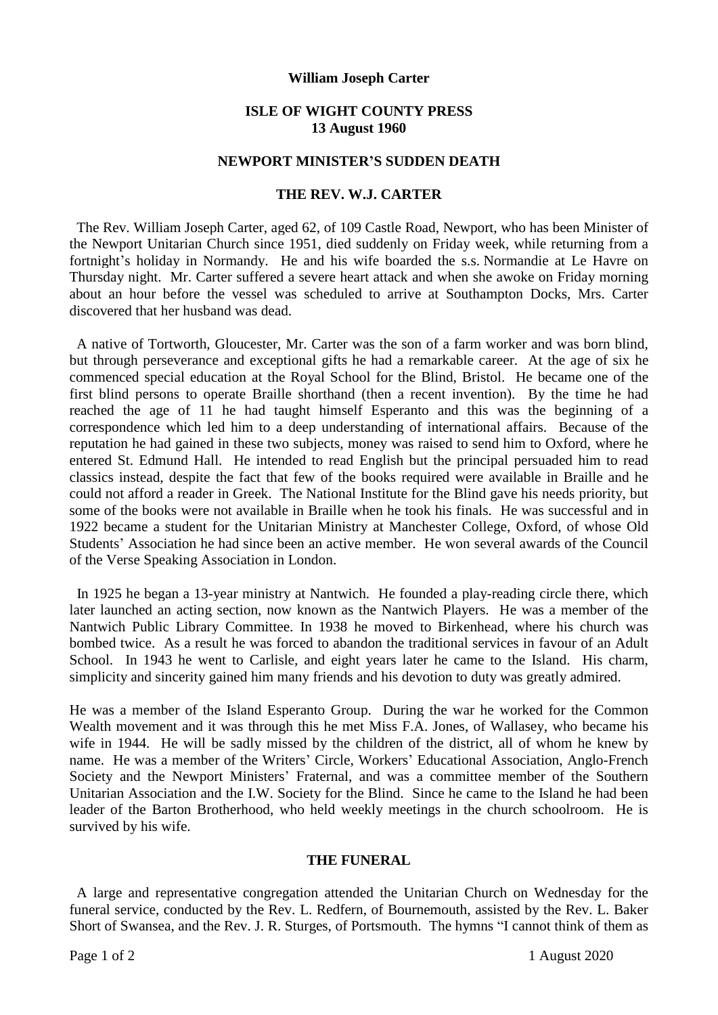### **William Joseph Carter**

## **ISLE OF WIGHT COUNTY PRESS 13 August 1960**

## **NEWPORT MINISTER'S SUDDEN DEATH**

# **THE REV. W.J. CARTER**

The Rev. William Joseph Carter, aged 62, of 109 Castle Road, Newport, who has been Minister of the Newport Unitarian Church since 1951, died suddenly on Friday week, while returning from a fortnight's holiday in Normandy. He and his wife boarded the s.s. Normandie at Le Havre on Thursday night. Mr. Carter suffered a severe heart attack and when she awoke on Friday morning about an hour before the vessel was scheduled to arrive at Southampton Docks, Mrs. Carter discovered that her husband was dead.

 A native of Tortworth, Gloucester, Mr. Carter was the son of a farm worker and was born blind, but through perseverance and exceptional gifts he had a remarkable career. At the age of six he commenced special education at the Royal School for the Blind, Bristol. He became one of the first blind persons to operate Braille shorthand (then a recent invention). By the time he had reached the age of 11 he had taught himself Esperanto and this was the beginning of a correspondence which led him to a deep understanding of international affairs. Because of the reputation he had gained in these two subjects, money was raised to send him to Oxford, where he entered St. Edmund Hall. He intended to read English but the principal persuaded him to read classics instead, despite the fact that few of the books required were available in Braille and he could not afford a reader in Greek. The National Institute for the Blind gave his needs priority, but some of the books were not available in Braille when he took his finals. He was successful and in 1922 became a student for the Unitarian Ministry at Manchester College, Oxford, of whose Old Students' Association he had since been an active member. He won several awards of the Council of the Verse Speaking Association in London.

 In 1925 he began a 13-year ministry at Nantwich. He founded a play-reading circle there, which later launched an acting section, now known as the Nantwich Players. He was a member of the Nantwich Public Library Committee. In 1938 he moved to Birkenhead, where his church was bombed twice. As a result he was forced to abandon the traditional services in favour of an Adult School. In 1943 he went to Carlisle, and eight years later he came to the Island. His charm, simplicity and sincerity gained him many friends and his devotion to duty was greatly admired.

He was a member of the Island Esperanto Group. During the war he worked for the Common Wealth movement and it was through this he met Miss F.A. Jones, of Wallasey, who became his wife in 1944. He will be sadly missed by the children of the district, all of whom he knew by name. He was a member of the Writers' Circle, Workers' Educational Association, Anglo-French Society and the Newport Ministers' Fraternal, and was a committee member of the Southern Unitarian Association and the I.W. Society for the Blind. Since he came to the Island he had been leader of the Barton Brotherhood, who held weekly meetings in the church schoolroom. He is survived by his wife.

#### **THE FUNERAL**

 A large and representative congregation attended the Unitarian Church on Wednesday for the funeral service, conducted by the Rev. L. Redfern, of Bournemouth, assisted by the Rev. L. Baker Short of Swansea, and the Rev. J. R. Sturges, of Portsmouth. The hymns "I cannot think of them as